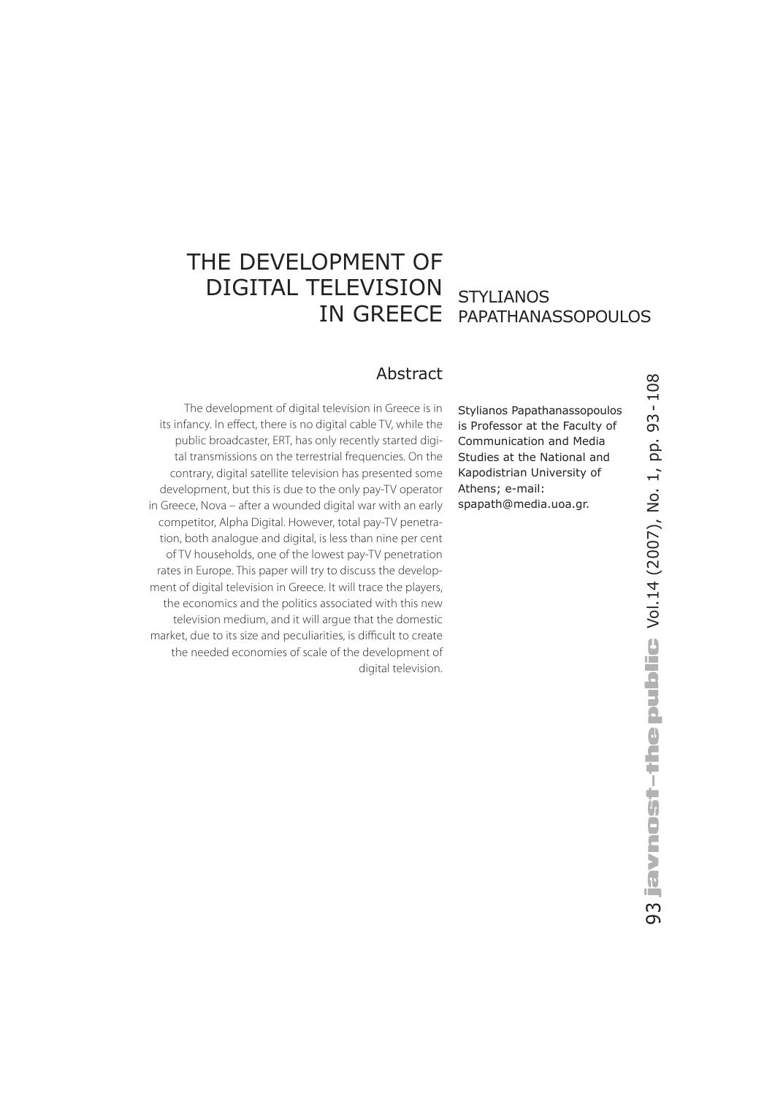# THE DEVELOPMENT OF DIGITAL TELEVISION

# IN GREECE PAPATHANASSOPOULOS **STYLIANOS**

### Abstract

The development of digital television in Greece is in its infancy. In effect, there is no digital cable TV, while the public broadcaster, ERT, has only recently started digital transmissions on the terrestrial frequencies. On the contrary, digital satellite television has presented some development, but this is due to the only pay-TV operator in Greece, Nova – after a wounded digital war with an early competitor, Alpha Digital. However, total pay-TV penetration, both analogue and digital, is less than nine per cent of TV households, one of the lowest pay-TV penetration rates in Europe. This paper will try to discuss the development of digital television in Greece. It will trace the players, the economics and the politics associated with this new television medium, and it will argue that the domestic market, due to its size and peculiarities, is difficult to create the needed economies of scale of the development of digital television.

Stylianos Papathanassopoulos is Professor at the Faculty of Communication and Media Studies at the National and Kapodistrian University of Athens; e-mail: spapath@media.uoa.gr.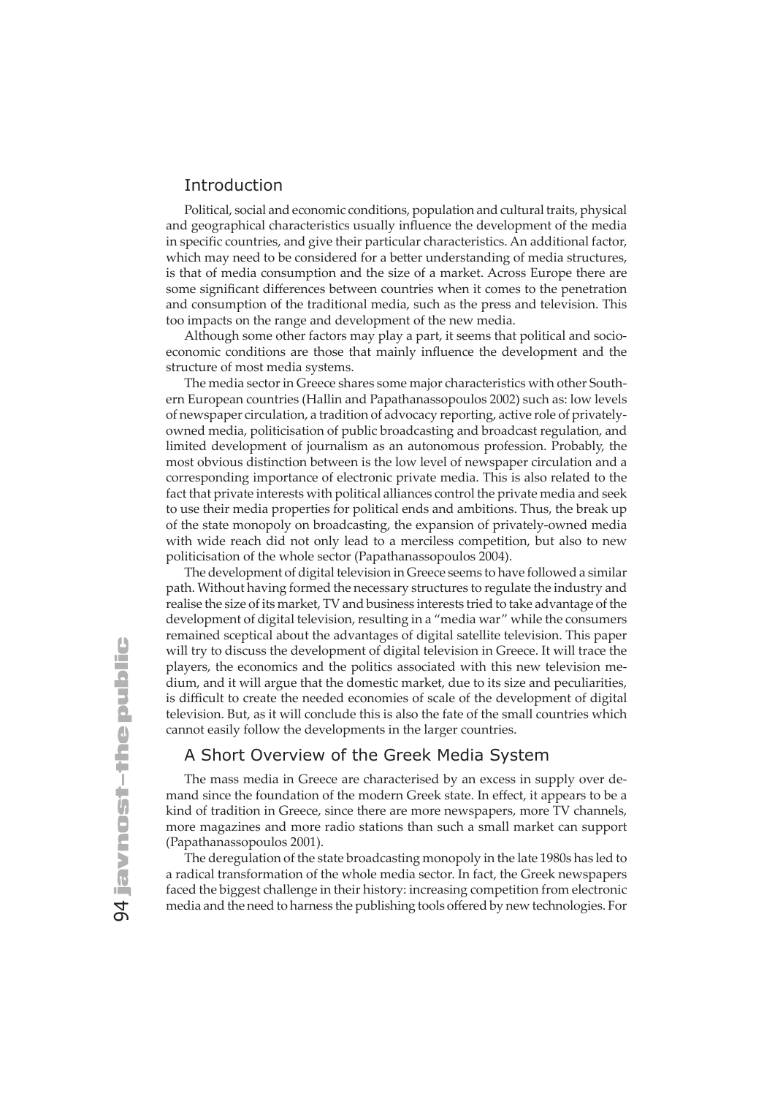#### Introduction

Political, social and economic conditions, population and cultural traits, physical and geographical characteristics usually influence the development of the media in specific countries, and give their particular characteristics. An additional factor, which may need to be considered for a better understanding of media structures, is that of media consumption and the size of a market. Across Europe there are some significant differences between countries when it comes to the penetration and consumption of the traditional media, such as the press and television. This too impacts on the range and development of the new media.

Although some other factors may play a part, it seems that political and socioeconomic conditions are those that mainly influence the development and the structure of most media systems.

The media sector in Greece shares some major characteristics with other Southern European countries (Hallin and Papathanassopoulos 2002) such as: low levels of newspaper circulation, a tradition of advocacy reporting, active role of privatelyowned media, politicisation of public broadcasting and broadcast regulation, and limited development of journalism as an autonomous profession. Probably, the most obvious distinction between is the low level of newspaper circulation and a corresponding importance of electronic private media. This is also related to the fact that private interests with political alliances control the private media and seek to use their media properties for political ends and ambitions. Thus, the break up of the state monopoly on broadcasting, the expansion of privately-owned media with wide reach did not only lead to a merciless competition, but also to new politicisation of the whole sector (Papathanassopoulos 2004).

The development of digital television in Greece seems to have followed a similar path. Without having formed the necessary structures to regulate the industry and realise the size of its market, TV and business interests tried to take advantage of the development of digital television, resulting in a "media war" while the consumers remained sceptical about the advantages of digital satellite television. This paper will try to discuss the development of digital television in Greece. It will trace the players, the economics and the politics associated with this new television medium, and it will argue that the domestic market, due to its size and peculiarities, is difficult to create the needed economies of scale of the development of digital television. But, as it will conclude this is also the fate of the small countries which cannot easily follow the developments in the larger countries.

## A Short Overview of the Greek Media System

The mass media in Greece are characterised by an excess in supply over demand since the foundation of the modern Greek state. In effect, it appears to be a kind of tradition in Greece, since there are more newspapers, more TV channels, more magazines and more radio stations than such a small market can support (Papathanassopoulos 2001).

The deregulation of the state broadcasting monopoly in the late 1980s has led to a radical transformation of the whole media sector. In fact, the Greek newspapers faced the biggest challenge in their history: increasing competition from electronic media and the need to harness the publishing tools offered by new technologies. For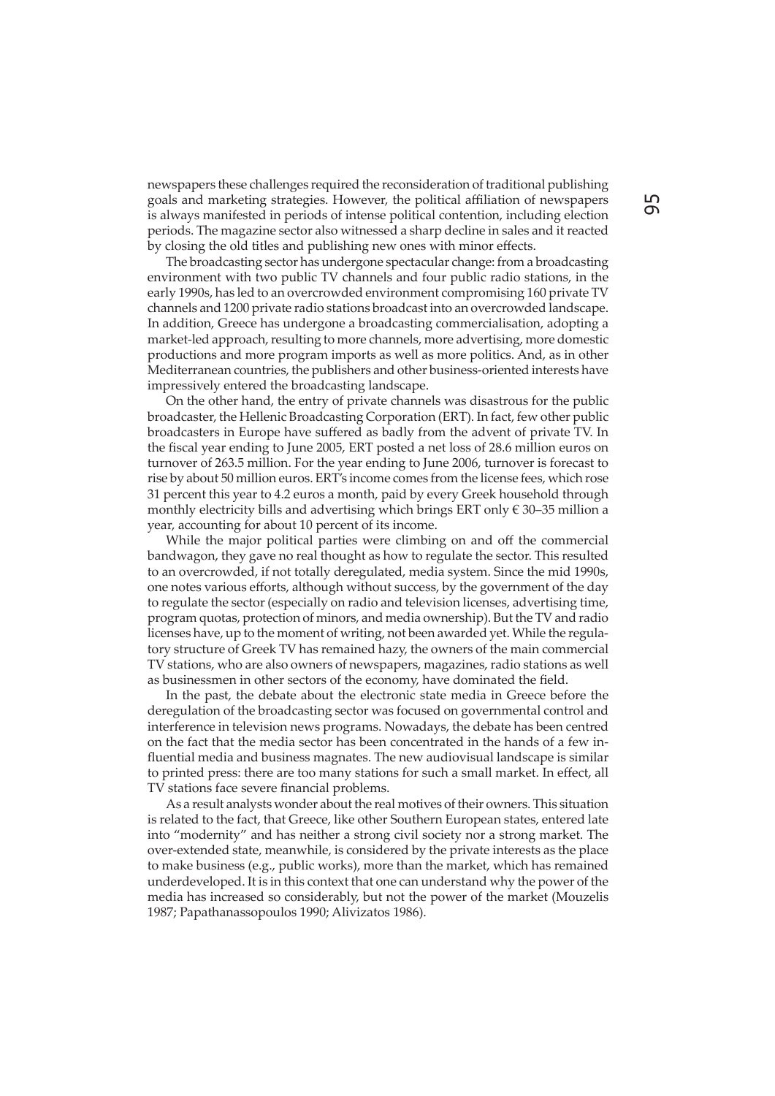newspapers these challenges required the reconsideration of traditional publishing goals and marketing strategies. However, the political affiliation of newspapers is always manifested in periods of intense political contention, including election periods. The magazine sector also witnessed a sharp decline in sales and it reacted by closing the old titles and publishing new ones with minor effects.

The broadcasting sector has undergone spectacular change: from a broadcasting environment with two public TV channels and four public radio stations, in the early 1990s, has led to an overcrowded environment compromising 160 private TV channels and 1200 private radio stations broadcast into an overcrowded landscape. In addition, Greece has undergone a broadcasting commercialisation, adopting a market-led approach, resulting to more channels, more advertising, more domestic productions and more program imports as well as more politics. And, as in other Mediterranean countries, the publishers and other business-oriented interests have impressively entered the broadcasting landscape.

On the other hand, the entry of private channels was disastrous for the public broadcaster, the Hellenic Broadcasting Corporation (ERT). In fact, few other public broadcasters in Europe have suffered as badly from the advent of private TV. In the fiscal year ending to June 2005, ERT posted a net loss of 28.6 million euros on turnover of 263.5 million. For the year ending to June 2006, turnover is forecast to rise by about 50 million euros. ERT's income comes from the license fees, which rose 31 percent this year to 4.2 euros a month, paid by every Greek household through monthly electricity bills and advertising which brings ERT only  $\epsilon$  30–35 million a year, accounting for about 10 percent of its income.

While the major political parties were climbing on and off the commercial bandwagon, they gave no real thought as how to regulate the sector. This resulted to an overcrowded, if not totally deregulated, media system. Since the mid 1990s, one notes various efforts, although without success, by the government of the day to regulate the sector (especially on radio and television licenses, advertising time, program quotas, protection of minors, and media ownership). But the TV and radio licenses have, up to the moment of writing, not been awarded yet. While the regulatory structure of Greek TV has remained hazy, the owners of the main commercial TV stations, who are also owners of newspapers, magazines, radio stations as well as businessmen in other sectors of the economy, have dominated the field.

In the past, the debate about the electronic state media in Greece before the deregulation of the broadcasting sector was focused on governmental control and interference in television news programs. Nowadays, the debate has been centred on the fact that the media sector has been concentrated in the hands of a few influential media and business magnates. The new audiovisual landscape is similar to printed press: there are too many stations for such a small market. In effect, all TV stations face severe financial problems.

As a result analysts wonder about the real motives of their owners. This situation is related to the fact, that Greece, like other Southern European states, entered late into "modernity" and has neither a strong civil society nor a strong market. The over-extended state, meanwhile, is considered by the private interests as the place to make business (e.g., public works), more than the market, which has remained underdeveloped. It is in this context that one can understand why the power of the media has increased so considerably, but not the power of the market (Mouzelis 1987; Papathanassopoulos 1990; Alivizatos 1986).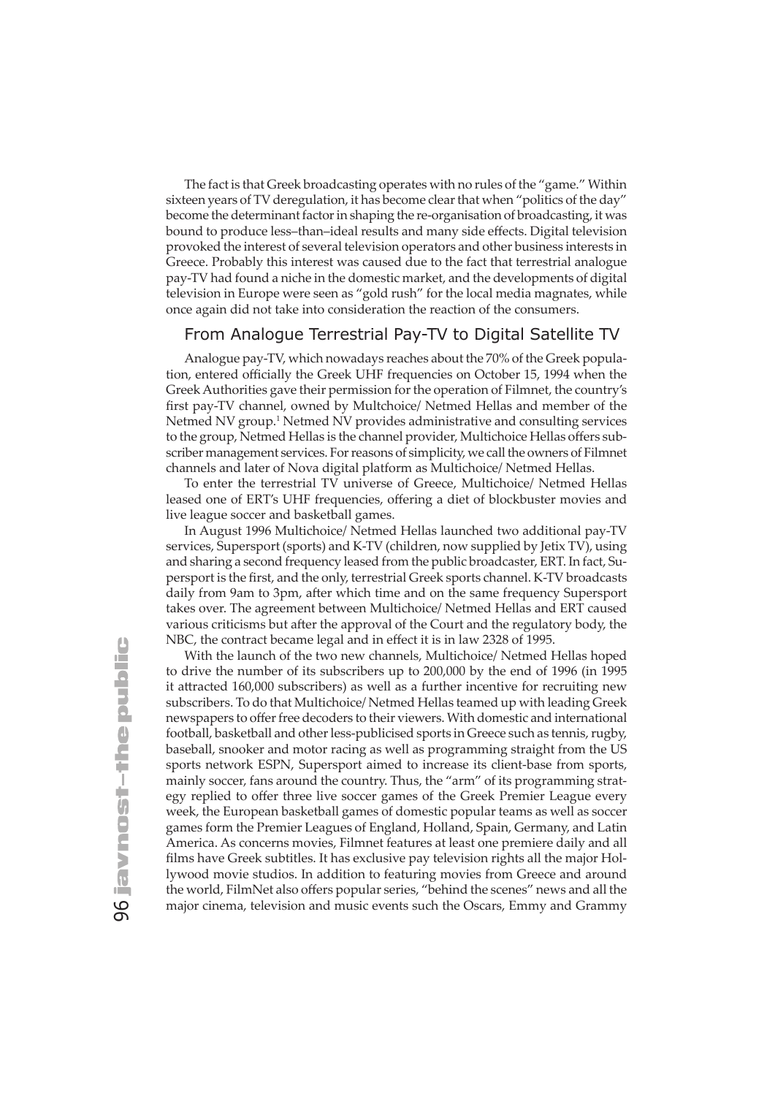The fact is that Greek broadcasting operates with no rules of the "game." Within sixteen years of TV deregulation, it has become clear that when "politics of the day" become the determinant factor in shaping the re-organisation of broadcasting, it was bound to produce less-than-ideal results and many side effects. Digital television provoked the interest of several television operators and other business interests in Greece. Probably this interest was caused due to the fact that terrestrial analogue pay-TV had found a niche in the domestic market, and the developments of digital television in Europe were seen as "gold rush" for the local media magnates, while once again did not take into consideration the reaction of the consumers.

### From Analogue Terrestrial Pay-TV to Digital Satellite TV

Analogue pay-TV, which nowadays reaches about the 70% of the Greek population, entered officially the Greek UHF frequencies on October 15, 1994 when the Greek Authorities gave their permission for the operation of Filmnet, the country's first pay-TV channel, owned by Multchoice/ Netmed Hellas and member of the Netmed NV group.<sup>1</sup> Netmed NV provides administrative and consulting services to the group, Netmed Hellas is the channel provider, Multichoice Hellas offers subscriber management services. For reasons of simplicity, we call the owners of Filmnet channels and later of Nova digital platform as Multichoice/ Netmed Hellas.

To enter the terrestrial TV universe of Greece, Multichoice/ Netmed Hellas leased one of ERT's UHF frequencies, offering a diet of blockbuster movies and live league soccer and basketball games.

In August 1996 Multichoice/ Netmed Hellas launched two additional pay-TV services, Supersport (sports) and K-TV (children, now supplied by Jetix TV), using and sharing a second frequency leased from the public broadcaster, ERT. In fact, Supersport is the first, and the only, terrestrial Greek sports channel. K-TV broadcasts daily from 9am to 3pm, after which time and on the same frequency Supersport takes over. The agreement between Multichoice/ Netmed Hellas and ERT caused various criticisms but after the approval of the Court and the regulatory body, the NBC, the contract became legal and in effect it is in law 2328 of 1995.

With the launch of the two new channels, Multichoice/ Netmed Hellas hoped to drive the number of its subscribers up to 200,000 by the end of 1996 (in 1995 it attracted 160,000 subscribers) as well as a further incentive for recruiting new subscribers. To do that Multichoice/ Netmed Hellas teamed up with leading Greek newspapers to offer free decoders to their viewers. With domestic and international football, basketball and other less-publicised sports in Greece such as tennis, rugby, baseball, snooker and motor racing as well as programming straight from the US sports network ESPN, Supersport aimed to increase its client-base from sports, mainly soccer, fans around the country. Thus, the "arm" of its programming strategy replied to offer three live soccer games of the Greek Premier League every week, the European basketball games of domestic popular teams as well as soccer games form the Premier Leagues of England, Holland, Spain, Germany, and Latin America. As concerns movies, Filmnet features at least one premiere daily and all films have Greek subtitles. It has exclusive pay television rights all the major Hollywood movie studios. In addition to featuring movies from Greece and around the world, FilmNet also offers popular series, "behind the scenes" news and all the major cinema, television and music events such the Oscars, Emmy and Grammy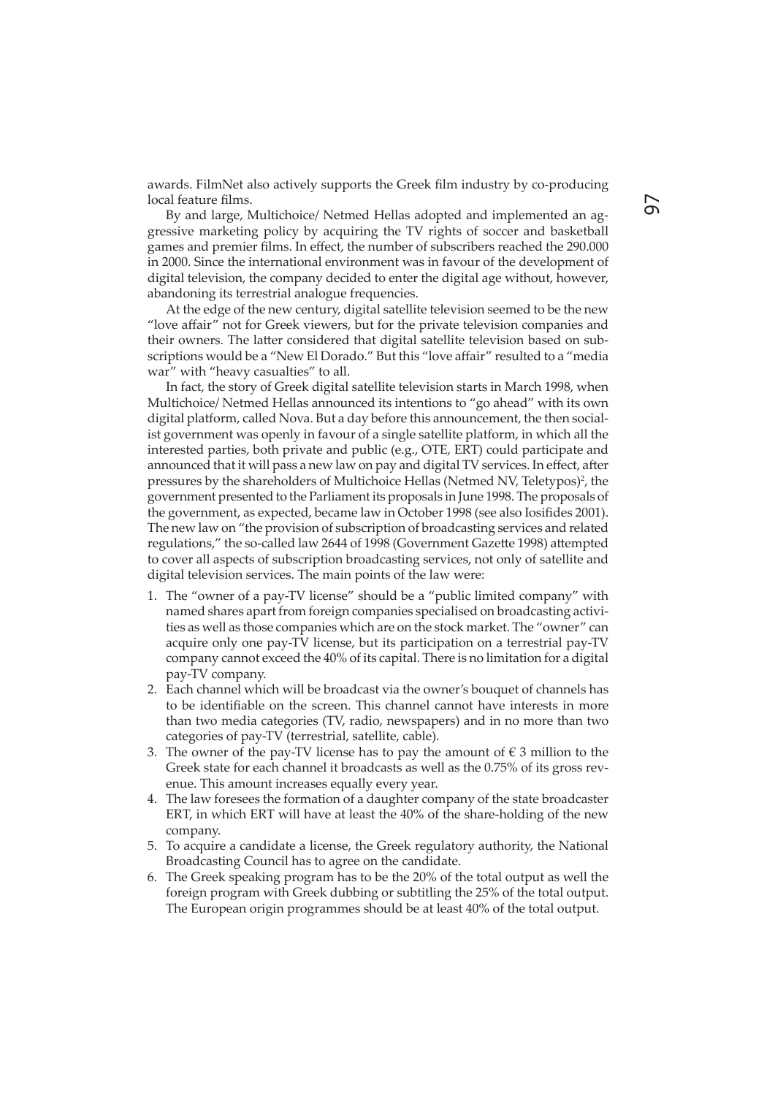awards. FilmNet also actively supports the Greek film industry by co-producing local feature films.

By and large, Multichoice/ Netmed Hellas adopted and implemented an aggressive marketing policy by acquiring the TV rights of soccer and basketball games and premier films. In effect, the number of subscribers reached the 290.000 in 2000. Since the international environment was in favour of the development of digital television, the company decided to enter the digital age without, however, abandoning its terrestrial analogue frequencies.

At the edge of the new century, digital satellite television seemed to be the new "love affair" not for Greek viewers, but for the private television companies and their owners. The latter considered that digital satellite television based on subscriptions would be a "New El Dorado." But this "love affair" resulted to a "media war" with "heavy casualties" to all.

In fact, the story of Greek digital satellite television starts in March 1998, when Multichoice/ Netmed Hellas announced its intentions to "go ahead" with its own digital platform, called Nova. But a day before this announcement, the then socialist government was openly in favour of a single satellite platform, in which all the interested parties, both private and public (e.g., OTE, ERT) could participate and announced that it will pass a new law on pay and digital TV services. In effect, after pressures by the shareholders of Multichoice Hellas (Netmed NV, Teletypos)<sup>2</sup>, the government presented to the Parliament its proposals in June 1998. The proposals of the government, as expected, became law in October 1998 (see also Iosifides 2001). The new law on "the provision of subscription of broadcasting services and related regulations," the so-called law 2644 of 1998 (Government Gazette 1998) attempted to cover all aspects of subscription broadcasting services, not only of satellite and digital television services. The main points of the law were:

- 1. The "owner of a pay-TV license" should be a "public limited company" with named shares apart from foreign companies specialised on broadcasting activities as well as those companies which are on the stock market. The "owner" can acquire only one pay-TV license, but its participation on a terrestrial pay-TV company cannot exceed the 40% of its capital. There is no limitation for a digital pay-TV company.
- 2. Each channel which will be broadcast via the owner's bouquet of channels has to be identifiable on the screen. This channel cannot have interests in more than two media categories (TV, radio, newspapers) and in no more than two categories of pay-TV (terrestrial, satellite, cable).
- 3. The owner of the pay-TV license has to pay the amount of  $\epsilon$  3 million to the Greek state for each channel it broadcasts as well as the 0.75% of its gross revenue. This amount increases equally every year.
- 4. The law foresees the formation of a daughter company of the state broadcaster ERT, in which ERT will have at least the 40% of the share-holding of the new company.
- 5. To acquire a candidate a license, the Greek regulatory authority, the National Broadcasting Council has to agree on the candidate.
- 6. The Greek speaking program has to be the 20% of the total output as well the foreign program with Greek dubbing or subtitling the 25% of the total output. The European origin programmes should be at least 40% of the total output.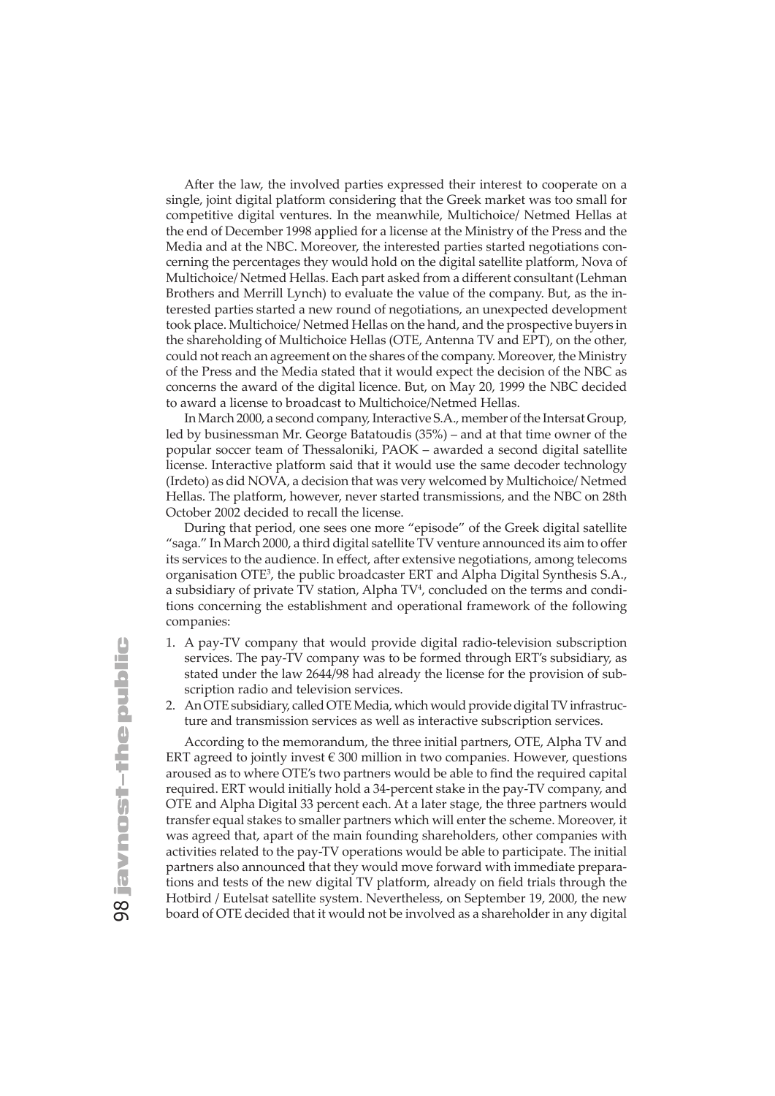After the law, the involved parties expressed their interest to cooperate on a single, joint digital platform considering that the Greek market was too small for competitive digital ventures. In the meanwhile, Multichoice/ Netmed Hellas at the end of December 1998 applied for a license at the Ministry of the Press and the Media and at the NBC. Moreover, the interested parties started negotiations concerning the percentages they would hold on the digital satellite platform, Nova of Multichoice/ Netmed Hellas. Each part asked from a different consultant (Lehman Brothers and Merrill Lynch) to evaluate the value of the company. But, as the interested parties started a new round of negotiations, an unexpected development took place. Multichoice/ Netmed Hellas on the hand, and the prospective buyers in the shareholding of Multichoice Hellas (ΟΤΕ, Antenna TV and ΕΡΤ), on the other, could not reach an agreement on the shares of the company. Moreover, the Ministry of the Press and the Media stated that it would expect the decision of the NBC as concerns the award of the digital licence. But, on May 20, 1999 the NBC decided to award a license to broadcast to Multichoice/Netmed Hellas.

In March 2000, a second company, Interactive S.A., member of the Intersat Group, led by businessman Mr. George Batatoudis (35%) – and at that time owner of the popular soccer team of Thessaloniki, PAOK – awarded a second digital satellite license. Interactive platform said that it would use the same decoder technology (Irdeto) as did NOVA, a decision that was very welcomed by Multichoice/ Netmed Hellas. The platform, however, never started transmissions, and the NBC on 28th October 2002 decided to recall the license.

During that period, one sees one more "episode" of the Greek digital satellite "saga." In March 2000, a third digital satellite TV venture announced its aim to offer its services to the audience. In effect, after extensive negotiations, among telecoms organisation OTE3 , the public broadcaster ERT and Alpha Digital Synthesis S.A., a subsidiary of private TV station, Alpha TV<sup>4</sup>, concluded on the terms and conditions concerning the establishment and operational framework of the following companies:

- 1. A pay-TV company that would provide digital radio-television subscription services. The pay-TV company was to be formed through ERT's subsidiary, as stated under the law 2644/98 had already the license for the provision of subscription radio and television services.
- 2. An OTE subsidiary, called OTE Media, which would provide digital TV infrastructure and transmission services as well as interactive subscription services.

According to the memorandum, the three initial partners, OTE, Alpha TV and ERT agreed to jointly invest € 300 million in two companies. However, questions aroused as to where OTE's two partners would be able to find the required capital required. ERT would initially hold a 34-percent stake in the pay-TV company, and OTE and Alpha Digital 33 percent each. At a later stage, the three partners would transfer equal stakes to smaller partners which will enter the scheme. Moreover, it was agreed that, apart of the main founding shareholders, other companies with activities related to the pay-TV operations would be able to participate. The initial partners also announced that they would move forward with immediate preparations and tests of the new digital TV platform, already on field trials through the Hotbird / Eutelsat satellite system. Nevertheless, on September 19, 2000, the new board of OTE decided that it would not be involved as a shareholder in any digital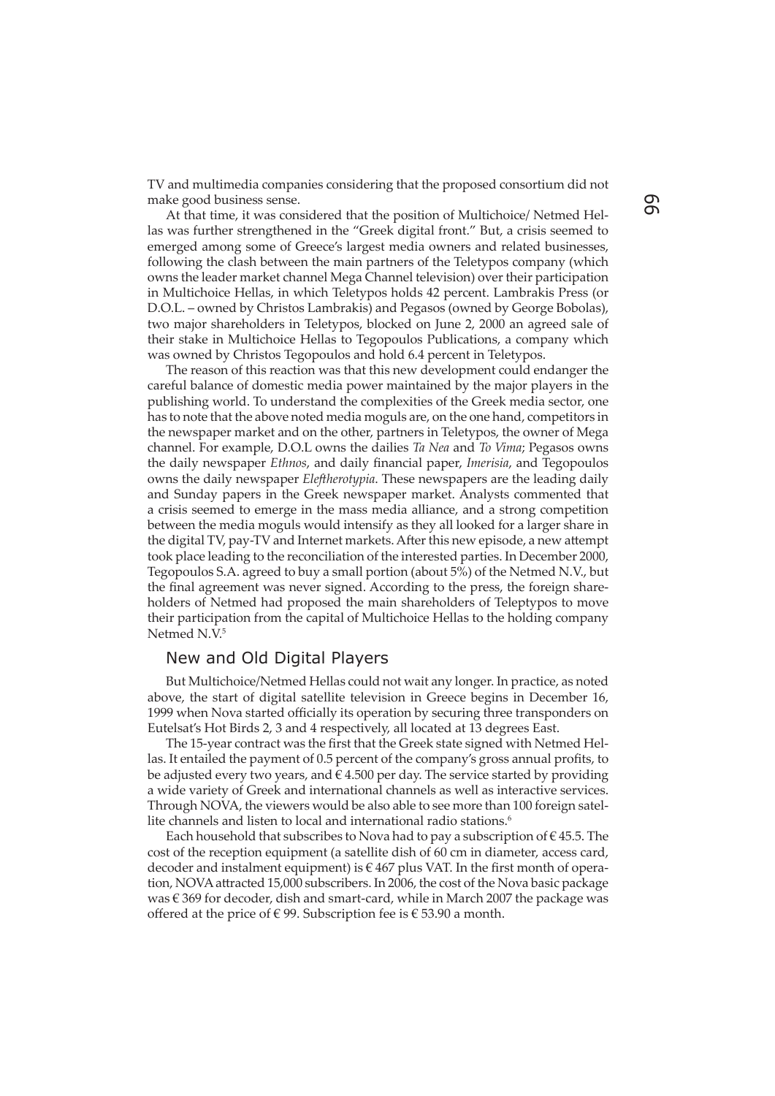TV and multimedia companies considering that the proposed consortium did not make good business sense.

At that time, it was considered that the position of Multichoice/ Netmed Hellas was further strengthened in the "Greek digital front." But, a crisis seemed to emerged among some of Greece's largest media owners and related businesses, following the clash between the main partners of the Teletypos company (which owns the leader market channel Mega Channel television) over their participation in Multichoice Hellas, in which Teletypos holds 42 percent. Lambrakis Press (or D.O.L. – owned by Christos Lambrakis) and Pegasos (owned by George Bobolas), two major shareholders in Teletypos, blocked on June 2, 2000 an agreed sale of their stake in Multichoice Hellas to Tegopoulos Publications, a company which was owned by Christos Tegopoulos and hold 6.4 percent in Teletypos.

The reason of this reaction was that this new development could endanger the careful balance of domestic media power maintained by the major players in the publishing world. To understand the complexities of the Greek media sector, one has to note that the above noted media moguls are, on the one hand, competitors in the newspaper market and on the other, partners in Teletypos, the owner of Mega channel. For example, D.O.L owns the dailies *Ta Nea* and *To Vima*; Pegasos owns the daily newspaper *Ethnos*, and daily financial paper, *Imerisia*, and Tegopoulos owns the daily newspaper *Eleftherotypia*. These newspapers are the leading daily and Sunday papers in the Greek newspaper market. Analysts commented that a crisis seemed to emerge in the mass media alliance, and a strong competition between the media moguls would intensify as they all looked for a larger share in the digital TV, pay-TV and Internet markets. After this new episode, a new attempt took place leading to the reconciliation of the interested parties. In December 2000, Tegopoulos S.A. agreed to buy a small portion (about 5%) of the Netmed N.V., but the final agreement was never signed. According to the press, the foreign shareholders of Netmed had proposed the main shareholders of Teleptypos to move their participation from the capital of Multichoice Hellas to the holding company Netmed N.V.<sup>5</sup>

#### New and Old Digital Players

But Multichoice/Netmed Hellas could not wait any longer. In practice, as noted above, the start of digital satellite television in Greece begins in December 16, 1999 when Nova started officially its operation by securing three transponders on Eutelsat's Hot Birds 2, 3 and 4 respectively, all located at 13 degrees East.

The 15-year contract was the first that the Greek state signed with Netmed Hellas. It entailed the payment of 0.5 percent of the company's gross annual profits, to be adjusted every two years, and  $\hat{\epsilon}$  4.500 per day. The service started by providing a wide variety of Greek and international channels as well as interactive services. Through NOVA, the viewers would be also able to see more than 100 foreign satellite channels and listen to local and international radio stations.<sup>6</sup>

Each household that subscribes to Nova had to pay a subscription of  $\epsilon$  45.5. The cost of the reception equipment (a satellite dish of 60 cm in diameter, access card, decoder and instalment equipment) is  $\epsilon$  467 plus VAT. In the first month of operation, NOVA attracted 15,000 subscribers. In 2006, the cost of the Nova basic package was  $\epsilon$  369 for decoder, dish and smart-card, while in March 2007 the package was offered at the price of  $\in$  99. Subscription fee is  $\in$  53.90 a month.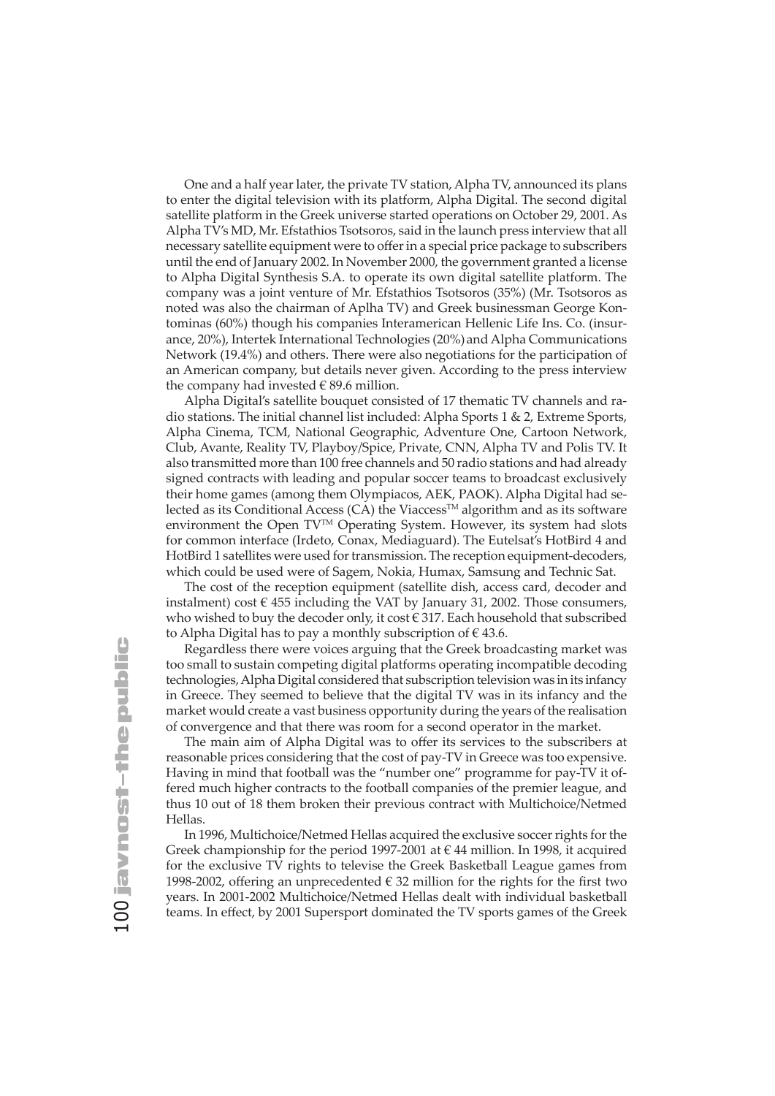One and a half year later, the private TV station, Alpha TV, announced its plans to enter the digital television with its platform, Alpha Digital. The second digital satellite platform in the Greek universe started operations on October 29, 2001. As Alpha TV's MD, Mr. Efstathios Tsotsoros, said in the launch press interview that all necessary satellite equipment were to offer in a special price package to subscribers until the end of January 2002. In November 2000, the government granted a license to Alpha Digital Synthesis S.A. to operate its own digital satellite platform. The company was a joint venture of Mr. Efstathios Tsotsoros (35%) (Mr. Tsotsoros as noted was also the chairman of Aplha TV) and Greek businessman George Kontominas (60%) though his companies Interamerican Hellenic Life Ins. Co. (insurance, 20%), Intertek International Technologies (20%) and Alpha Communications Network (19.4%) and others. There were also negotiations for the participation of an American company, but details never given. According to the press interview the company had invested  $\in$  89.6 million.

Alpha Digital's satellite bouquet consisted of 17 thematic TV channels and radio stations. The initial channel list included: Alpha Sports 1 & 2, Extreme Sports, Alpha Cinema, TCM, National Geographic, Adventure One, Cartoon Network, Club, Avante, Reality TV, Playboy/Spice, Private, CNN, Alpha TV and Polis TV. It also transmitted more than 100 free channels and 50 radio stations and had already signed contracts with leading and popular soccer teams to broadcast exclusively their home games (among them Olympiacos, AEK, PAOK). Alpha Digital had selected as its Conditional Access (CA) the Viaccess<sup>TM</sup> algorithm and as its software environment the Open TV<sup>™</sup> Operating System. However, its system had slots for common interface (Irdeto, Conax, Mediaguard). The Eutelsat's HotBird 4 and HotBird 1 satellites were used for transmission. The reception equipment-decoders, which could be used were of Sagem, Nokia, Humax, Samsung and Technic Sat.

The cost of the reception equipment (satellite dish, access card, decoder and instalment) cost  $\epsilon$  455 including the VAT by January 31, 2002. Those consumers, who wished to buy the decoder only, it cost  $\in$  317. Each household that subscribed to Alpha Digital has to pay a monthly subscription of  $\epsilon$  43.6.

Regardless there were voices arguing that the Greek broadcasting market was too small to sustain competing digital platforms operating incompatible decoding technologies, Alpha Digital considered that subscription television was in its infancy in Greece. They seemed to believe that the digital TV was in its infancy and the market would create a vast business opportunity during the years of the realisation of convergence and that there was room for a second operator in the market.

The main aim of Alpha Digital was to offer its services to the subscribers at reasonable prices considering that the cost of pay-TV in Greece was too expensive. Having in mind that football was the "number one" programme for pay-TV it offered much higher contracts to the football companies of the premier league, and thus 10 out of 18 them broken their previous contract with Multichoice/Netmed Hellas.

In 1996, Multichoice/Netmed Hellas acquired the exclusive soccer rights for the Greek championship for the period 1997-2001 at  $\epsilon$  44 million. In 1998, it acquired for the exclusive TV rights to televise the Greek Basketball League games from 1998-2002, offering an unprecedented  $\epsilon$  32 million for the rights for the first two years. In 2001-2002 Multichoice/Netmed Hellas dealt with individual basketball teams. In effect, by 2001 Supersport dominated the TV sports games of the Greek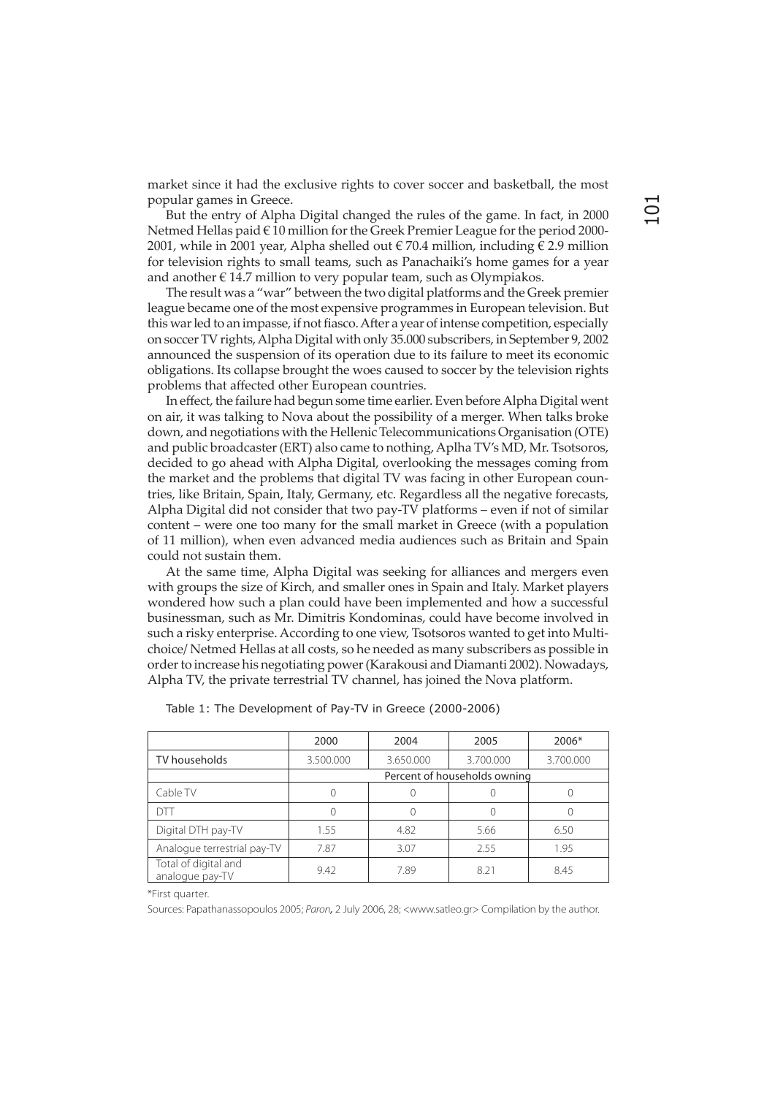market since it had the exclusive rights to cover soccer and basketball, the most popular games in Greece.

But the entry of Alpha Digital changed the rules of the game. In fact, in 2000 Netmed Hellas paid € 10 million for the Greek Premier League for the period 2000- 2001, while in 2001 year, Alpha shelled out  $\in$  70.4 million, including  $\in$  2.9 million for television rights to small teams, such as Panachaiki's home games for a year and another  $\epsilon$  14.7 million to very popular team, such as Olympiakos.

The result was a "war" between the two digital platforms and the Greek premier league became one of the most expensive programmes in European television. But this war led to an impasse, if not fiasco. After a year of intense competition, especially on soccer TV rights, Alpha Digital with only 35.000 subscribers, in September 9, 2002 announced the suspension of its operation due to its failure to meet its economic obligations. Its collapse brought the woes caused to soccer by the television rights problems that affected other European countries.

In effect, the failure had begun some time earlier. Even before Alpha Digital went on air, it was talking to Nova about the possibility of a merger. When talks broke down, and negotiations with the Hellenic Telecommunications Organisation (OTE) and public broadcaster (ERT) also came to nothing, Aplha TV's MD, Mr. Tsotsoros, decided to go ahead with Alpha Digital, overlooking the messages coming from the market and the problems that digital TV was facing in other European countries, like Britain, Spain, Italy, Germany, etc. Regardless all the negative forecasts, Alpha Digital did not consider that two pay-TV platforms – even if not of similar content – were one too many for the small market in Greece (with a population of 11 million), when even advanced media audiences such as Britain and Spain could not sustain them.

At the same time, Alpha Digital was seeking for alliances and mergers even with groups the size of Kirch, and smaller ones in Spain and Italy. Market players wondered how such a plan could have been implemented and how a successful businessman, such as Mr. Dimitris Kondominas, could have become involved in such a risky enterprise. According to one view, Tsotsoros wanted to get into Multichoice/ Netmed Hellas at all costs, so he needed as many subscribers as possible in order to increase his negotiating power (Karakousi and Diamanti 2002). Nowadays, Alpha TV, the private terrestrial TV channel, has joined the Nova platform.

|                                         | 2000                         | 2004      | 2005      | 2006*     |
|-----------------------------------------|------------------------------|-----------|-----------|-----------|
| TV households                           | 3.500.000                    | 3.650.000 | 3.700.000 | 3.700.000 |
|                                         | Percent of households owning |           |           |           |
| Cable TV                                |                              |           |           |           |
| DTT                                     |                              |           |           |           |
| Digital DTH pay-TV                      | 1.55                         | 4.82      | 5.66      | 6.50      |
| Analogue terrestrial pay-TV             | 787                          | 3.07      | 2.55      | 1.95      |
| Total of digital and<br>analogue pay-TV | 9.42                         | 7.89      | 8.21      | 8.45      |

Table 1: The Development of Pay-TV in Greece (2000-2006)

\*First quarter.

Sources: Papathanassopoulos 2005; Paron, 2 July 2006, 28; <www.satleo.gr> Compilation by the author.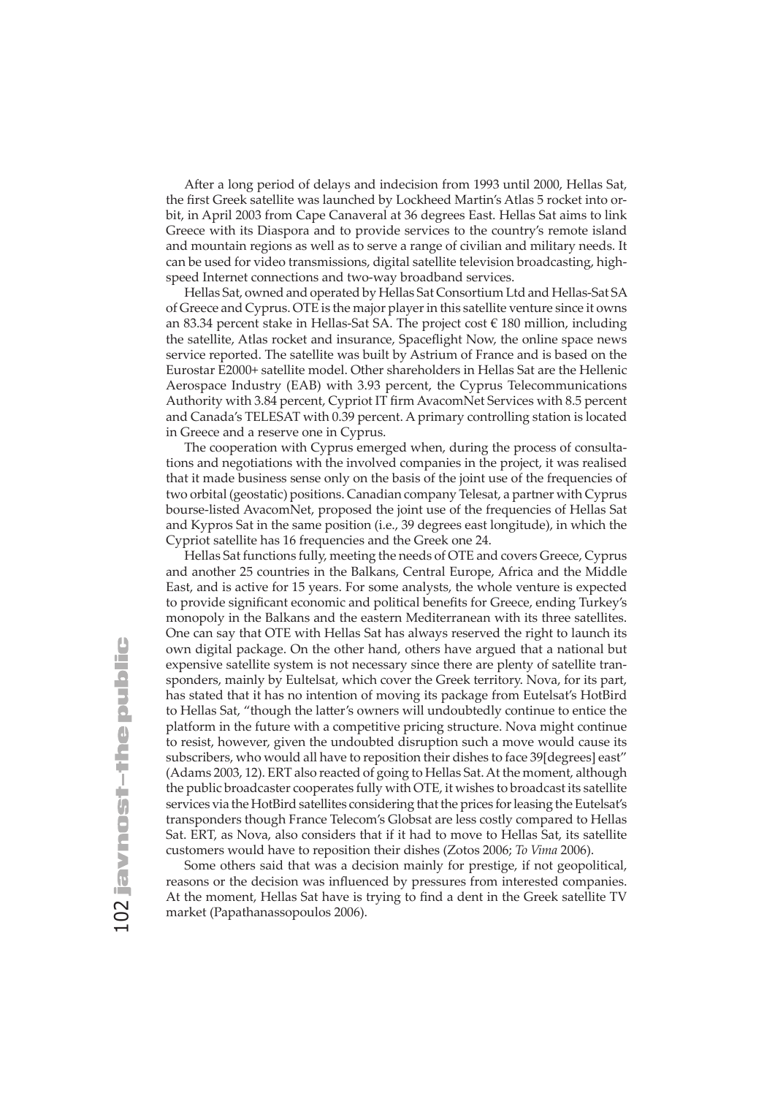After a long period of delays and indecision from 1993 until 2000, Hellas Sat, the first Greek satellite was launched by Lockheed Martin's Atlas 5 rocket into orbit, in April 2003 from Cape Canaveral at 36 degrees East. Hellas Sat aims to link Greece with its Diaspora and to provide services to the country's remote island and mountain regions as well as to serve a range of civilian and military needs. It can be used for video transmissions, digital satellite television broadcasting, highspeed Internet connections and two-way broadband services.

Hellas Sat, owned and operated by Hellas Sat Consortium Ltd and Hellas-Sat SA of Greece and Cyprus. OTE is the major player in this satellite venture since it owns an 83.34 percent stake in Hellas-Sat SA. The project cost € 180 million, including the satellite, Atlas rocket and insurance, Spaceflight Now, the online space news service reported. The satellite was built by Astrium of France and is based on the Eurostar E2000+ satellite model. Other shareholders in Hellas Sat are the Hellenic Aerospace Industry (EAB) with 3.93 percent, the Cyprus Telecommunications Authority with 3.84 percent, Cypriot IT firm AvacomNet Services with 8.5 percent and Canada's TELESAT with 0.39 percent. A primary controlling station is located in Greece and a reserve one in Cyprus.

The cooperation with Cyprus emerged when, during the process of consultations and negotiations with the involved companies in the project, it was realised that it made business sense only on the basis of the joint use of the frequencies of two orbital (geostatic) positions. Canadian company Telesat, a partner with Cyprus bourse-listed AvacomNet, proposed the joint use of the frequencies of Hellas Sat and Kypros Sat in the same position (i.e., 39 degrees east longitude), in which the Cypriot satellite has 16 frequencies and the Greek one 24.

Hellas Sat functions fully, meeting the needs of OTE and covers Greece, Cyprus and another 25 countries in the Balkans, Central Europe, Africa and the Middle East, and is active for 15 years. For some analysts, the whole venture is expected to provide significant economic and political benefits for Greece, ending Turkey's monopoly in the Balkans and the eastern Mediterranean with its three satellites. One can say that OTE with Hellas Sat has always reserved the right to launch its own digital package. On the other hand, others have argued that a national but expensive satellite system is not necessary since there are plenty of satellite transponders, mainly by Eultelsat, which cover the Greek territory. Nova, for its part, has stated that it has no intention of moving its package from Eutelsat's HotBird to Hellas Sat, "though the latter's owners will undoubtedly continue to entice the platform in the future with a competitive pricing structure. Nova might continue to resist, however, given the undoubted disruption such a move would cause its subscribers, who would all have to reposition their dishes to face 39[degrees] east" (Adams 2003, 12). ERT also reacted of going to Hellas Sat. At the moment, although the public broadcaster cooperates fully with OTE, it wishes to broadcast its satellite services via the HotBird satellites considering that the prices for leasing the Eutelsat's transponders though France Telecom's Globsat are less costly compared to Hellas Sat. ERT, as Nova, also considers that if it had to move to Hellas Sat, its satellite customers would have to reposition their dishes (Zotos 2006; *To Vima* 2006).

Some others said that was a decision mainly for prestige, if not geopolitical, reasons or the decision was influenced by pressures from interested companies. At the moment, Hellas Sat have is trying to find a dent in the Greek satellite TV market (Papathanassopoulos 2006).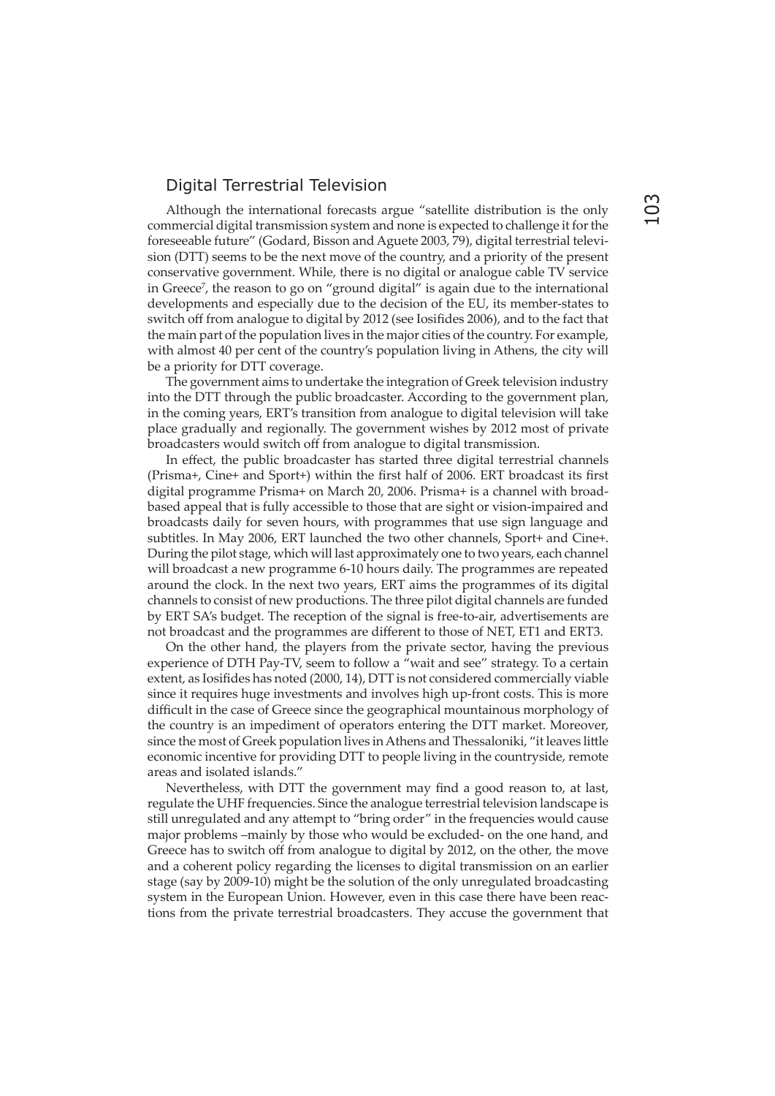#### Digital Terrestrial Television

Although the international forecasts argue "satellite distribution is the only commercial digital transmission system and none is expected to challenge it for the foreseeable future" (Godard, Bisson and Aguete 2003, 79), digital terrestrial television (DTT) seems to be the next move of the country, and a priority of the present conservative government. While, there is no digital or analogue cable TV service in Greece<sup>7</sup>, the reason to go on "ground digital" is again due to the international developments and especially due to the decision of the EU, its member-states to switch off from analogue to digital by 2012 (see Iosifides 2006), and to the fact that the main part of the population lives in the major cities of the country. For example, with almost 40 per cent of the country's population living in Athens, the city will be a priority for DTT coverage.

The government aims to undertake the integration of Greek television industry into the DTT through the public broadcaster. According to the government plan, in the coming years, ERT's transition from analogue to digital television will take place gradually and regionally. The government wishes by 2012 most of private broadcasters would switch off from analogue to digital transmission.

In effect, the public broadcaster has started three digital terrestrial channels (Prisma+, Cine+ and Sport+) within the first half of 2006. ERT broadcast its first digital programme Prisma+ on March 20, 2006. Prisma+ is a channel with broadbased appeal that is fully accessible to those that are sight or vision-impaired and broadcasts daily for seven hours, with programmes that use sign language and subtitles. In May 2006, ERT launched the two other channels, Sport+ and Cine+. During the pilot stage, which will last approximately one to two years, each channel will broadcast a new programme 6-10 hours daily. The programmes are repeated around the clock. In the next two years, ERT aims the programmes of its digital channels to consist of new productions. The three pilot digital channels are funded by ERT SA's budget. The reception of the signal is free-to-air, advertisements are not broadcast and the programmes are different to those of NET, ET1 and ERT3.

On the other hand, the players from the private sector, having the previous experience of DTH Pay-TV, seem to follow a "wait and see" strategy. To a certain extent, as Iosifides has noted (2000, 14), DTT is not considered commercially viable since it requires huge investments and involves high up-front costs. This is more difficult in the case of Greece since the geographical mountainous morphology of the country is an impediment of operators entering the DTT market. Moreover, since the most of Greek population lives in Athens and Thessaloniki, "it leaves little economic incentive for providing DTT to people living in the countryside, remote areas and isolated islands."

Nevertheless, with DTT the government may find a good reason to, at last, regulate the UHF frequencies. Since the analogue terrestrial television landscape is still unregulated and any attempt to "bring order" in the frequencies would cause major problems –mainly by those who would be excluded- on the one hand, and Greece has to switch off from analogue to digital by 2012, on the other, the move and a coherent policy regarding the licenses to digital transmission on an earlier stage (say by 2009-10) might be the solution of the only unregulated broadcasting system in the European Union. However, even in this case there have been reactions from the private terrestrial broadcasters. They accuse the government that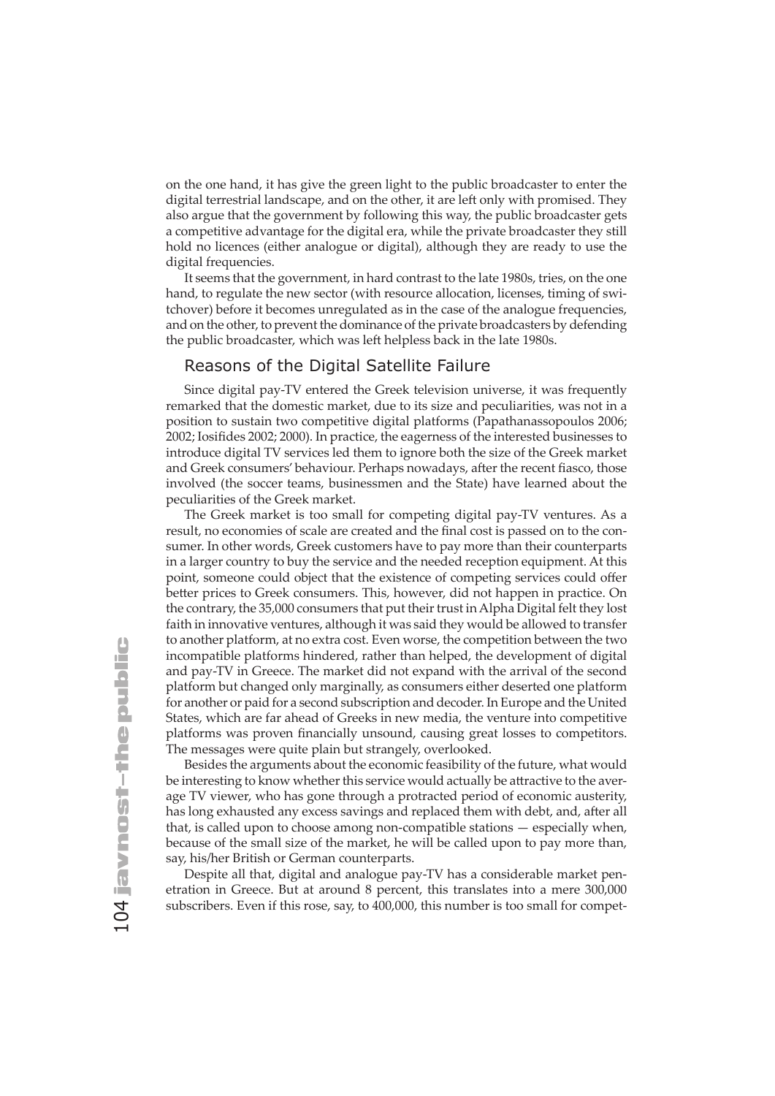on the one hand, it has give the green light to the public broadcaster to enter the digital terrestrial landscape, and on the other, it are left only with promised. They also argue that the government by following this way, the public broadcaster gets a competitive advantage for the digital era, while the private broadcaster they still hold no licences (either analogue or digital), although they are ready to use the digital frequencies.

It seems that the government, in hard contrast to the late 1980s, tries, on the one hand, to regulate the new sector (with resource allocation, licenses, timing of switchover) before it becomes unregulated as in the case of the analogue frequencies, and on the other, to prevent the dominance of the private broadcasters by defending the public broadcaster, which was left helpless back in the late 1980s.

#### Reasons of the Digital Satellite Failure

Since digital pay-TV entered the Greek television universe, it was frequently remarked that the domestic market, due to its size and peculiarities, was not in a position to sustain two competitive digital platforms (Papathanassopoulos 2006; 2002; Iosifides 2002; 2000). In practice, the eagerness of the interested businesses to introduce digital TV services led them to ignore both the size of the Greek market and Greek consumers' behaviour. Perhaps nowadays, after the recent fiasco, those involved (the soccer teams, businessmen and the State) have learned about the peculiarities of the Greek market.

The Greek market is too small for competing digital pay-TV ventures. As a result, no economies of scale are created and the final cost is passed on to the consumer. In other words, Greek customers have to pay more than their counterparts in a larger country to buy the service and the needed reception equipment. At this point, someone could object that the existence of competing services could offer better prices to Greek consumers. This, however, did not happen in practice. On the contrary, the 35,000 consumers that put their trust in Alpha Digital felt they lost faith in innovative ventures, although it was said they would be allowed to transfer to another platform, at no extra cost. Even worse, the competition between the two incompatible platforms hindered, rather than helped, the development of digital and pay-TV in Greece. The market did not expand with the arrival of the second platform but changed only marginally, as consumers either deserted one platform for another or paid for a second subscription and decoder. In Europe and the United States, which are far ahead of Greeks in new media, the venture into competitive platforms was proven financially unsound, causing great losses to competitors. The messages were quite plain but strangely, overlooked.

Besides the arguments about the economic feasibility of the future, what would be interesting to know whether this service would actually be attractive to the average TV viewer, who has gone through a protracted period of economic austerity, has long exhausted any excess savings and replaced them with debt, and, after all that, is called upon to choose among non-compatible stations — especially when, because of the small size of the market, he will be called upon to pay more than, say, his/her British or German counterparts.

Despite all that, digital and analogue pay-TV has a considerable market penetration in Greece. But at around 8 percent, this translates into a mere 300,000 subscribers. Even if this rose, say, to 400,000, this number is too small for compet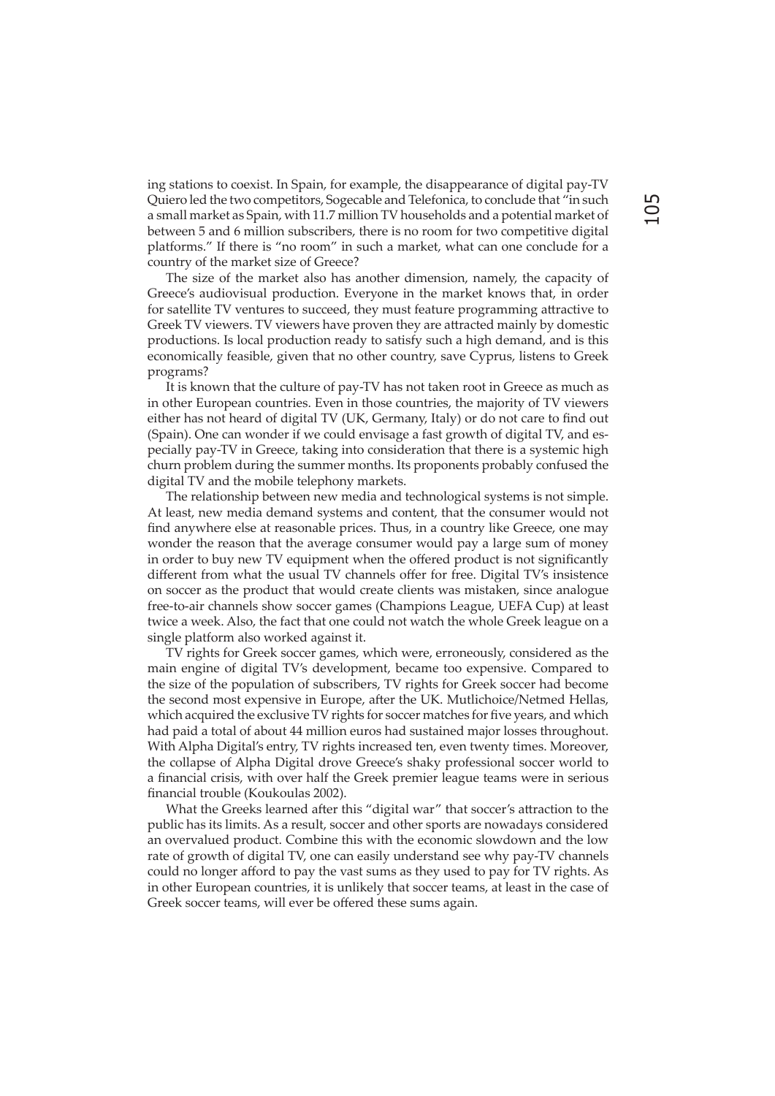ing stations to coexist. In Spain, for example, the disappearance of digital pay-TV Quiero led the two competitors, Sogecable and Telefonica, to conclude that "in such a small market as Spain, with 11.7 million TV households and a potential market of between 5 and 6 million subscribers, there is no room for two competitive digital platforms." If there is "no room" in such a market, what can one conclude for a country of the market size of Greece?

The size of the market also has another dimension, namely, the capacity of Greece's audiovisual production. Everyone in the market knows that, in order for satellite TV ventures to succeed, they must feature programming attractive to Greek TV viewers. TV viewers have proven they are attracted mainly by domestic productions. Is local production ready to satisfy such a high demand, and is this economically feasible, given that no other country, save Cyprus, listens to Greek programs?

It is known that the culture of pay-TV has not taken root in Greece as much as in other European countries. Even in those countries, the majority of TV viewers either has not heard of digital TV (UK, Germany, Italy) or do not care to find out (Spain). One can wonder if we could envisage a fast growth of digital TV, and especially pay-TV in Greece, taking into consideration that there is a systemic high churn problem during the summer months. Its proponents probably confused the digital TV and the mobile telephony markets.

The relationship between new media and technological systems is not simple. At least, new media demand systems and content, that the consumer would not find anywhere else at reasonable prices. Thus, in a country like Greece, one may wonder the reason that the average consumer would pay a large sum of money in order to buy new TV equipment when the offered product is not significantly different from what the usual TV channels offer for free. Digital TV's insistence on soccer as the product that would create clients was mistaken, since analogue free-to-air channels show soccer games (Champions League, UEFA Cup) at least twice a week. Also, the fact that one could not watch the whole Greek league on a single platform also worked against it.

TV rights for Greek soccer games, which were, erroneously, considered as the main engine of digital TV's development, became too expensive. Compared to the size of the population of subscribers, TV rights for Greek soccer had become the second most expensive in Europe, after the UK. Mutlichoice/Netmed Hellas, which acquired the exclusive TV rights for soccer matches for five years, and which had paid a total of about 44 million euros had sustained major losses throughout. With Alpha Digital's entry, TV rights increased ten, even twenty times. Moreover, the collapse of Alpha Digital drove Greece's shaky professional soccer world to a financial crisis, with over half the Greek premier league teams were in serious financial trouble (Koukoulas 2002).

What the Greeks learned after this "digital war" that soccer's attraction to the public has its limits. As a result, soccer and other sports are nowadays considered an overvalued product. Combine this with the economic slowdown and the low rate of growth of digital TV, one can easily understand see why pay-TV channels could no longer afford to pay the vast sums as they used to pay for TV rights. As in other European countries, it is unlikely that soccer teams, at least in the case of Greek soccer teams, will ever be offered these sums again.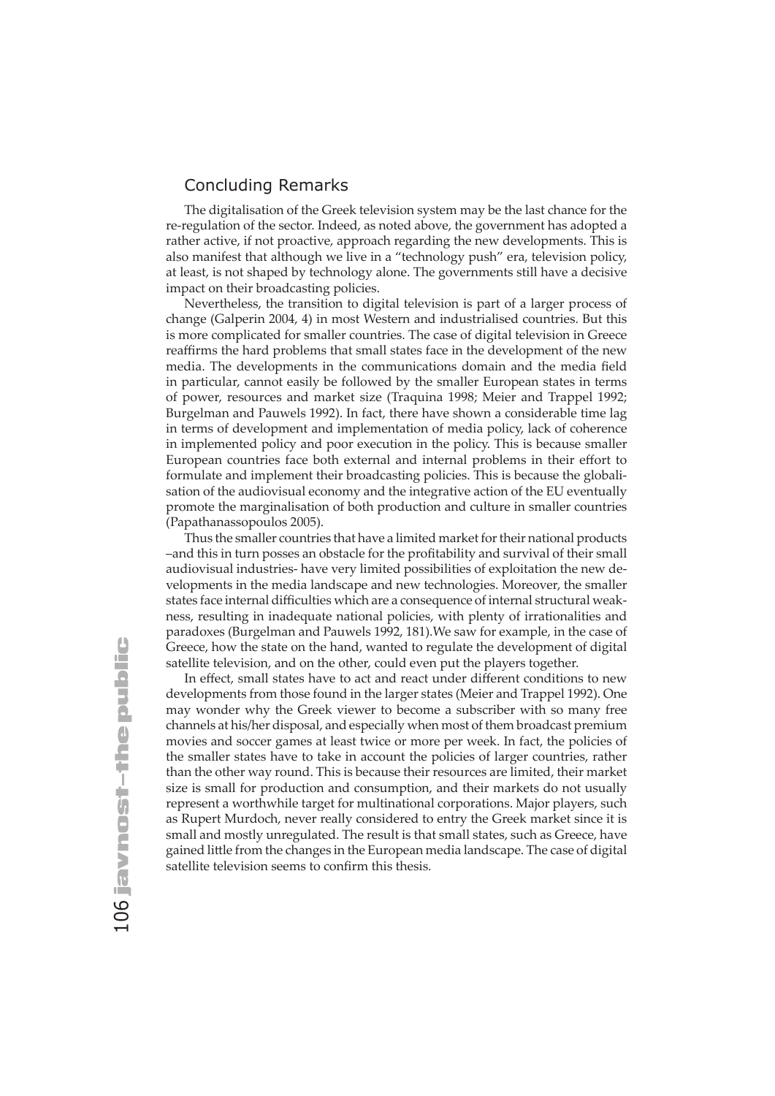#### Concluding Remarks

The digitalisation of the Greek television system may be the last chance for the re-regulation of the sector. Indeed, as noted above, the government has adopted a rather active, if not proactive, approach regarding the new developments. This is also manifest that although we live in a "technology push" era, television policy, at least, is not shaped by technology alone. The governments still have a decisive impact on their broadcasting policies.

Nevertheless, the transition to digital television is part of a larger process of change (Galperin 2004, 4) in most Western and industrialised countries. But this is more complicated for smaller countries. The case of digital television in Greece reaffirms the hard problems that small states face in the development of the new media. The developments in the communications domain and the media field in particular, cannot easily be followed by the smaller European states in terms of power, resources and market size (Traquina 1998; Meier and Trappel 1992; Burgelman and Pauwels 1992). In fact, there have shown a considerable time lag in terms of development and implementation of media policy, lack of coherence in implemented policy and poor execution in the policy. This is because smaller European countries face both external and internal problems in their effort to formulate and implement their broadcasting policies. This is because the globalisation of the audiovisual economy and the integrative action of the EU eventually promote the marginalisation of both production and culture in smaller countries (Papathanassopoulos 2005).

Thus the smaller countries that have a limited market for their national products –and this in turn posses an obstacle for the profi tability and survival of their small audiovisual industries- have very limited possibilities of exploitation the new developments in the media landscape and new technologies. Moreover, the smaller states face internal difficulties which are a consequence of internal structural weakness, resulting in inadequate national policies, with plenty of irrationalities and paradoxes (Burgelman and Pauwels 1992, 181).We saw for example, in the case of Greece, how the state on the hand, wanted to regulate the development of digital satellite television, and on the other, could even put the players together.

In effect, small states have to act and react under different conditions to new developments from those found in the larger states (Meier and Trappel 1992). One may wonder why the Greek viewer to become a subscriber with so many free channels at his/her disposal, and especially when most of them broadcast premium movies and soccer games at least twice or more per week. In fact, the policies of the smaller states have to take in account the policies of larger countries, rather than the other way round. This is because their resources are limited, their market size is small for production and consumption, and their markets do not usually represent a worthwhile target for multinational corporations. Major players, such as Rupert Murdoch, never really considered to entry the Greek market since it is small and mostly unregulated. The result is that small states, such as Greece, have gained little from the changes in the European media landscape. The case of digital satellite television seems to confirm this thesis.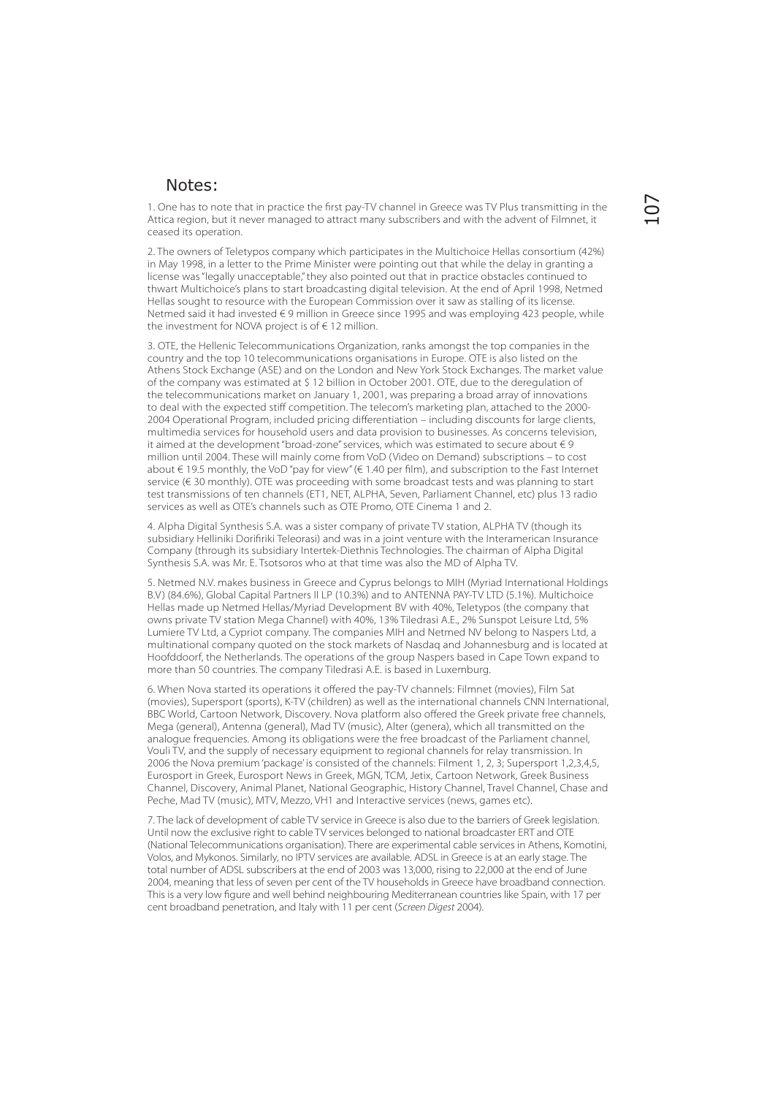#### Notes:

1. One has to note that in practice the first pay-TV channel in Greece was TV Plus transmitting in the Attica region, but it never managed to attract many subscribers and with the advent of Filmnet, it ceased its operation.

2. The owners of Teletypos company which participates in the Multichoice Hellas consortium (42%) in May 1998, in a letter to the Prime Minister were pointing out that while the delay in granting a license was "legally unacceptable," they also pointed out that in practice obstacles continued to thwart Multichoice's plans to start broadcasting digital television. At the end of April 1998, Netmed Hellas sought to resource with the European Commission over it saw as stalling of its license. Netmed said it had invested € 9 million in Greece since 1995 and was employing 423 people, while the investment for NOVA project is of € 12 million.

3. OTE, the Hellenic Telecommunications Organization, ranks amongst the top companies in the country and the top 10 telecommunications organisations in Europe. OTE is also listed on the Athens Stock Exchange (ASE) and on the London and New York Stock Exchanges. The market value of the company was estimated at \$ 12 billion in October 2001. OTE, due to the deregulation of the telecommunications market on January 1, 2001, was preparing a broad array of innovations to deal with the expected stiff competition. The telecom's marketing plan, attached to the 2000- 2004 Operational Program, included pricing differentiation – including discounts for large clients, multimedia services for household users and data provision to businesses. As concerns television, it aimed at the development "broad-zone" services, which was estimated to secure about  $\in$  9 million until 2004. These will mainly come from VoD (Video on Demand) subscriptions – to cost about € 19.5 monthly, the VoD "pay for view" (€ 1.40 per film), and subscription to the Fast Internet service (€ 30 monthly). OTE was proceeding with some broadcast tests and was planning to start test transmissions of ten channels (ET1, NET, ALPHA, Seven, Parliament Channel, etc) plus 13 radio services as well as OTE's channels such as OTE Promo, OTE Cinema 1 and 2.

4. Alpha Digital Synthesis S.A. was a sister company of private TV station, ALPHA TV (though its subsidiary Helliniki Dorifiriki Teleorasi) and was in a joint venture with the Interamerican Insurance Company (through its subsidiary Intertek-Diethnis Technologies. The chairman of Alpha Digital Synthesis S.A. was Mr. E. Tsotsoros who at that time was also the MD of Alpha TV.

5. Netmed N.V. makes business in Greece and Cyprus belongs to MIH (Μyriad International Holdings B.V) (84.6%), Global Capital Partners II LP (10.3%) and to ANTENNA PAY-TV LTD (5.1%). Multichoice Hellas made up Netmed Hellas/Myriad Development BV with 40%, Teletypos (the company that owns private TV station Mega Channel) with 40%, 13% Tiledrasi A.E., 2% Sunspot Leisure Ltd, 5% Lumiere TV Ltd, a Cypriot company. The companies ΜΙΗ and Netmed NV belong to Naspers Ltd, a multinational company quoted on the stock markets of Nasdaq and Johannesburg and is located at Hoofddoorf, the Netherlands. The operations of the group Naspers based in Cape Town expand to more than 50 countries. The company Tiledrasi Α.Ε. is based in Luxemburg.

6. When Nova started its operations it offered the pay-TV channels: Filmnet (movies), Film Sat (movies), Supersport (sports), K-TV (children) as well as the international channels CNN International, BBC World, Cartoon Network, Discovery. Nova platform also offered the Greek private free channels, Mega (general), Antenna (general), Mad TV (music), Alter (genera), which all transmitted on the analogue frequencies. Among its obligations were the free broadcast of the Parliament channel. Vouli TV, and the supply of necessary equipment to regional channels for relay transmission. In 2006 the Nova premium 'package' is consisted of the channels: Filment 1, 2, 3; Supersport 1,2,3,4,5, Eurosport in Greek, Eurosport News in Greek, MGN, TCM, Jetix, Cartoon Network, Greek Business Channel, Discovery, Animal Planet, National Geographic, History Channel, Travel Channel, Chase and Peche, Mad TV (music), MTV, Mezzo, VH1 and Interactive services (news, games etc).

7. The lack of development of cable TV service in Greece is also due to the barriers of Greek legislation. Until now the exclusive right to cable TV services belonged to national broadcaster ERT and OTE (National Telecommunications organisation). There are experimental cable services in Athens, Komotini, Volos, and Mykonos. Similarly, no IPTV services are available. ADSL in Greece is at an early stage. The total number of ADSL subscribers at the end of 2003 was 13,000, rising to 22,000 at the end of June 2004, meaning that less of seven per cent of the TV households in Greece have broadband connection. This is a very low figure and well behind neighbouring Mediterranean countries like Spain, with 17 per cent broadband penetration, and Italy with 11 per cent (Screen Digest 2004).